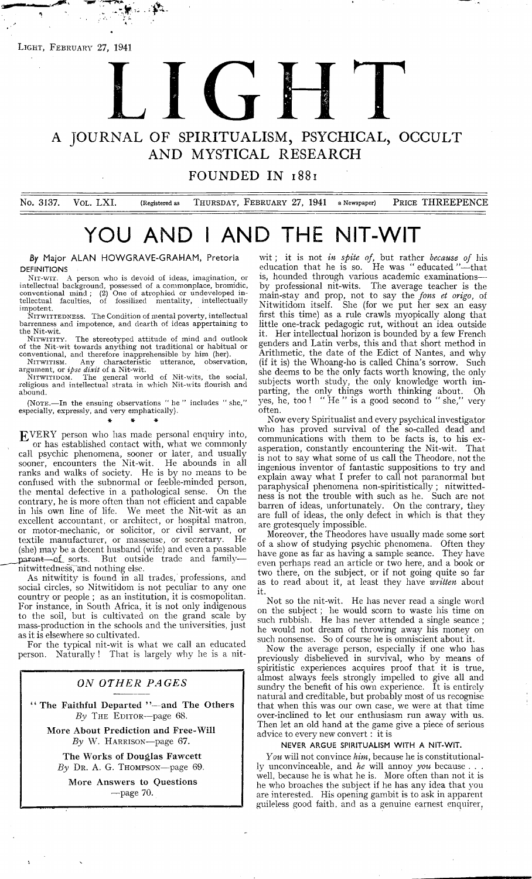**Light, February** 27, 1941

 $\frac{1}{2}$  ,  $\frac{1}{2}$ 

# LIGHT NEWSFILM

## **A JOURNAL OF SPIRITUALISM, PSYCHICAL, OCCULT AND MYSTICAL RESEARCH**

**FOUNDED IN 1881** 

No. 3137. VOL. LXI. (Registered as THURSDAY, FEBRUARY 27, 1941 a Newspaper) PRICE THREEPENCE

# **YOU AND I AND THE NIT-WIT**

**By Major ALAN HOWGRAVE-GRAHAM, Pretoria** DEFINITIONS

NIT-WIT. A person who is devoid of ideas, imagination, or<br>intellectual background, possessed of a commonplace, bromidic,<br>conventional mind; (2) One of atrophied or undeveloped in-<br>tellectual faculties, of fossilized mental impotent.

NITWITTEDNESS. The Condition of mental poverty, intellectual barrenness and impotence, and dearth of ideas appertaining to the Nit-wit.

NITWITITY. The stereotyped attitude of mind and outlook of the Nit-wit towards anything not traditional or habitual or

conventional, and therefore inapprehensible by him (her).<br>Nitwittism. Any characteristic utterance, observation,

argument, or *ipse dixit* of a Nit-wit.<br>Nitwiribom. The general world of Nit-wits, the social,<br>religious and intellectual strata in which Nit-wits flourish and abound.

(NOTE.—In the ensuing observations " he " includes " she," especially, expressly, and very emphatically).

#### \* \* *\**

EVERY person who has made personal enquiry into, or has established contact with, what we commonly call psychic phenomena, sooner or later, and usually sooner, encounters the Nit-wit. He abounds in all ranks and walks of society. He is by no means to be confused with the subnormal or feeble-minded person, the mental defective in a pathological sense. On the contrary, he is more often than not efficient and capable in his own line of life. excellent accountant, or architect, or hospital matron, or motor-mechanic, or solicitor, or civil servant, or textile manufacturer, or masseuse, or secretary. He (she) may be a decent husband (wife) and even a passable parent—of sorts. But outside trade and familynitwittedness, and nothing else.

As nitwitity is found in all trades, professions, and social circles, so Nitwitidom is not peculiar to any one country or people ; as an institution, it is cosmopolitan. For instance, in South Africa, it is not only indigenous to the soil, but is cultivated on the grand scale by mass-production in the schools and the universities, just as it is elsewhere so cultivated.

For the typical nit-wit is what we call an educated person. Naturally ! That is largely why he is a nit-

#### *ON OTHER PAGES*

**' ' The Faithful Departed ' '— and The Others** *By* **T he Editor— page 68.**

**More About Prediction and Free-Will** *By* W. **H arrison**—page 67.

**The Works of Douglas Fawcett** *By* Dr . A. G. **Thompson**— page 69.

**More Answers to Questions** — page 70.

w it; it is not *in spite of,* but rather *because of* his education that he is so. He was "educated "—that is, hounded through various academic examinationsby professional nit-wits. The average teacher is the main-stay and prop, not to say the *fans et origo,* of Nitwitidom itself. She (for we put her sex an easy first this time) as a rule crawls myopically along that little one-track pedagogic rut, without an idea outside Her intellectual horizon is bounded by a few French genders and Latin verbs, this and that short method in Arithmetic, the date of the Edict of Nantes, and why (if it is) the Whoang-ho is called China's sorrow. Such she deems to be the only facts worth knowing, the only subjects worth study, the only knowledge worth imparting, the only things worth thinking about. Oh yes, he, too ! " He " is a good second to " she," very often.

Now every Spiritualist and every psychical investigator who has proved survival of the so-called dead and communications with them to be facts is, to his exasperation, constantly encountering the Nit-wit. That is not to say what some of us call the Theodore, not the ingenious inventor of fantastic suppositions to try and explain away what I prefer to call not paranormal but paraphysical phenomena non-spiritistically ; nitwittedness is not the trouble with such as he. Such are not barren of ideas, unfortunately. On the contrary, they are full of ideas, the only defect in which is that they are grotesquely impossible.

Moreover, the Theodores have usually made some sort of a show of studying psychic phenomena. Often they have gone as far as having a sample seance. They have even perhaps read an article or two here, and a book or two there, on the subject, or if not going quite so far as to read about it, at least they have *written* about it.

Not so the nit-wit. He has never read a single word on the subject; he would scorn to waste his time on such rubbish. He has never attended a single seance ; he would not dream of throwing away his money on such nonsense. So of course he is omniscient about it.

Now the average person, especially if one who has previously disbelieved in survival, who by means of spiritistic experiences acquires proof that it is true, almost always feels strongly impelled to give all and sundry the benefit of his own experience. It is entirely natural and creditable, but probably most of us recognise that when this was our own case, we were at that time over-inclined to let our enthusiasm run away with us. Then let an old hand at the game give a piece of serious advice to every new convert: it is

#### NEVER ARGUE SPIRITUALISM WITH A NIT-WIT.

*You* will not convince *him,* because he is constitutionally unconvinceable, and *he* will annoy *you* because . well, because he is what he is. More often than not it is he who broaches the subject if he has any idea that you are interested. His opening gambit is to ask in apparent guileless good faith, and as a genuine earnest enquirer.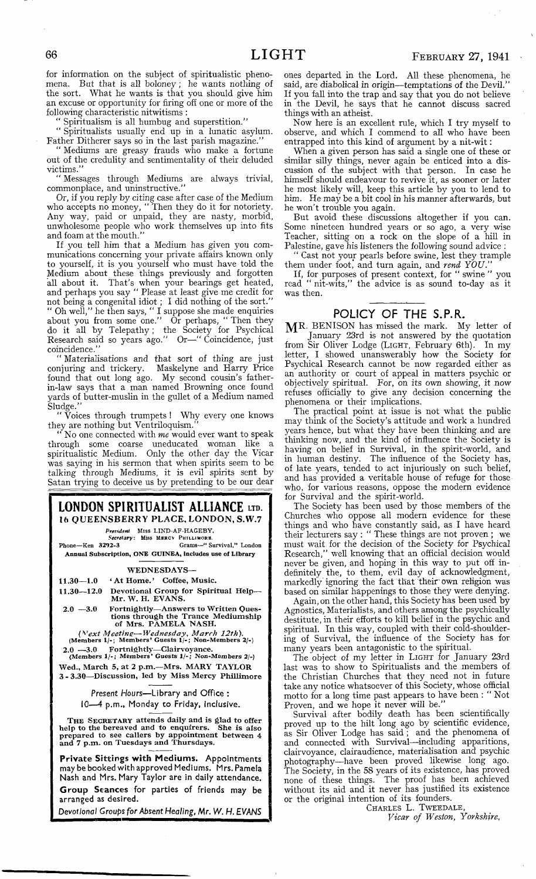for information on the subject of spiritualistic phenomena. But that is all boloney; he wants nothing of the sort. What he wants is that you should give him an excuse or opportunity for firing off one or more of the following characteristic nitwitisms :

" Spiritualism is all humbug and superstition."

" Spiritualists usually end up in a lunatic asylum. Father Ditherer says so in the last parish magazine.'

" Mediums are greasy frauds who make a fortune out of the credulity and sentimentality of their deluded victims."

" Messages through Mediums are always trivial, commonplace, and uninstructive."

Or, if you reply by citing case after case of the Medium who accepts no money, " Then they do it for notoriety. Any way, paid or unpaid, they are nasty, morbid, unwholesome people who work themselves up into fits and foam at the mouth."

If you tell him that a Medium has given you communications concerning your private affairs known only to yourself, it is you yourself who must have told the Medium about these things previously and forgotten all about it. That's when your bearings get heated, and perhaps you say " Please at least give me credit for not being a congenital idiot; I did nothing of the sort." " Oh well," he then says, " I suppose she made enquiries about you from some one." Or perhaps, " Then they do it all by Telepathy; the Society for Psychical Research said so years ago." Or—" Coincidence, just coincidence."

Materialisations and that sort of thing are just conjuring and trickery. Maskelyne and Harry Price found that out long ago. My second cousin's fatherin-law says that a man named Browning once found yards of butter-muslin in the gullet of a Medium named Sludge."

Voices through trumpets ! Why every one knows they are nothing but Ventriloquism."

" No one connected with *me* would ever want to speak through some coarse uneducated woman like a spiritualistic Medium. Only the other day the Vicar was saying in his sermon that when spirits seem to be talking through Mediums, it is evil spirits sent by Satan trying to deceive us by pretending to be our dear



2.0 — 3.0 Fortnightly— Clairvoyance. **(Members 1 /-; M embers' Guests 1 /-; Non-Members 2/-)**

Wed., March 5, at 2 p.m.-Mrs. MARY TAYLOR 3-3.30-Discussion, led by Miss Mercy Phillimore

> *Present Hours***— Library and Office : 10— 4 p.m., Monday to Friday, inclusive.**

THE SECRETARY attends daily and is glad to offer<br>help to the bereaved and to enquirers. She is also<br>prepared to see callers by appointment between  $\frac{4}{3}$ <br>and  $7$  p.m. on Tuesdays and Thursdays.

**Private Sittings with Mediums. Appointments may be booked with approved Mediums. Mrs. Pamela Nash and Mrs. Mary Taylor are in daily attendance. Group Seances for parties of friends may be arranged as desired.**

*Devotional Groups for Absent Healing,* **Mr.** *W. H. EVANS*

ones departed in the Lord. All these phenomena, he said, are diabolical in origin— temptations of the Devil." If you fall into the trap and say that you do not believe in the Devil, he says that he cannot discuss sacred things with an atheist.

Now here is an excellent rule, which I try myself to observe, and which I commend to all who have been entrapped into this kind of argument by a nit-wit:

When a given person has said a single one of these or similar silly things, never again be enticed into a discussion of the subject with that person. In case he himself should endeavour to revive it, as sooner or later he most likely will, keep this article by you to lend to him. He may be a bit cool in his manner afterwards, but he won't trouble you again.

But avoid these discussions altogether if you can. Some nineteen hundred years or so ago, a very wise Teacher, sitting on a rock on the slope of a hill in Palestine, gave his listeners the following sound advice

" Cast not your pearls before swine, lest they trample them under foot, and turn again, and *rend YOU*.

If, for purposes of present context, for " swine " you read " nit-wits," the advice is as sound to-day as it was then.

### **POLICY OF THE S.P.R.**

MR. BENISON has missed the mark. My letter of January 23rd is not answered by the quotation from Sir Oliver Lodge **(Light,** February 6th). In my letter, I showed unanswerably how the Society for Psychical Research cannot be now regarded either as an authority or court of appeal in matters psychic or objectively spiritual. For, on its own showing, it now refuses officially to give any decision concerning the phenomena or their implications.

The practical point at issue is not what the public may think of the Society's attitude and work a hundred years hence, but what they have been thinking and are thinking now, and the kind of influence the Society is having on belief in Survival, in the spirit-world, and in human destiny. The influence of the Society has, of late years, tended to act injuriously on such belief, and has provided a veritable house of refuge for those who, for various reasons, oppose the modern evidence for Survival and the spirit-world.

The Society has been used by those members of the Churches who oppose all modern evidence for these things and who have constantly said, as I have heard their lecturers say : " These things are not proven ; we must wait for the decision of the Society for Psychical Research," well knowing that an official decision would never be given, and hoping in this way to put off indefinitely the, to them, evil day of acknowledgment, markedly ignoring the fact that their'own religion was based on similar happenings to those they were denying.

Again, on the other hand, this Society has been used by Agnostics, Materialists, and others among the psychically destitute, in their efforts to kill belief in the psychic and spiritual. In this way, coupled with their cold-shouldering of Survival, the influence of the Society has for many years been antagonistic to the spiritual.

The object of my letter in **Light** for January 23rd last was to show to Spiritualists and the members of the Christian Churches that they need not in future take any notice whatsoever of this Society, whose official motto for a long time past appears to have been : " Not Proven, and we hope it never will be."

Survival after bodily death has been scientifically proved up to the hilt long ago by scientific evidence, as Sir Oliver Lodge has said ; and the phenomena of and connected with Survival—including apparitions, clairvoyance, clairaudience, materialisation and psychic photography— have been proved likewise long ago. The Society, in the 58 years of its existence, has proved none of these things. The proof has been achieved without its aid and it never has justified its existence or the original intention of its founders.

**Charles** L. **Tweedale,**

*Vicar of Weston, Yorkshire,*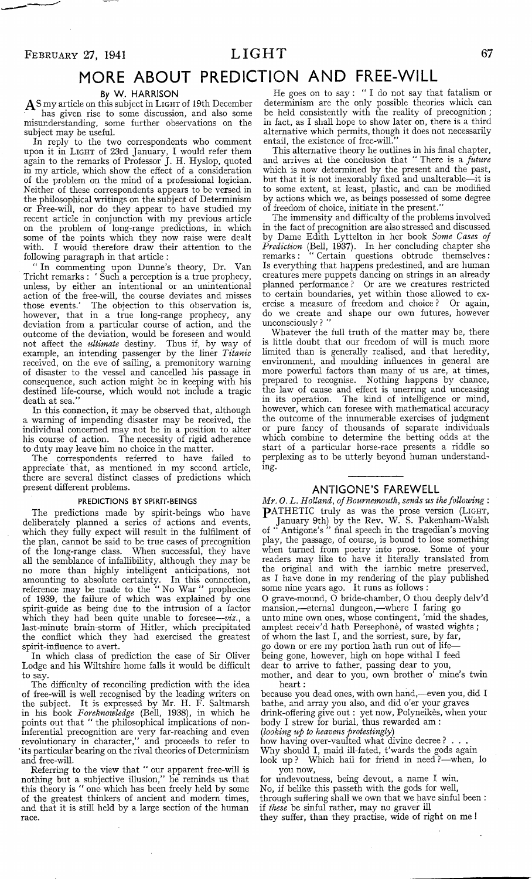# **MORE ABOUT PREDICTION AND FREE-WILL**

#### **By** W. HARRISON

**A s** my article on this subject in **Light** of 19th December has given rise to some discussion, and also some misunderstanding, some further observations on the subject may be useful.

In reply to the two correspondents who comment upon it in **Light** of 23rd January, **I** would refer them again to the remarks of Professor J. H. Hyslop, quoted in my article, which show the effect of a consideration of the problem on the mind of a professional logician. Neither of these correspondents appears to be versed in the philosophical writings on the subject of Determinism or Free-will, nor do they appear to have studied my recent article in conjunction with my previous article on the problem of long-range predictions, in which some of the points which they now raise were dealt with. I would therefore draw their attention to the following paragraph in that article :

" In commenting upon Dunne's theory, Dr. Van Tricht remarks : ' Such a perception is a true prophecy, unless, by either an intentional or an unintentional action of the free-will, the course deviates and misses those events.' The objection to this observation is, those events.' The objection to this observation is, however, that in a true long-range prophecy, any deviation from a particular course of action, and the outcome of the deviation, would be foreseen and would not affect the *ultimate* destiny. Thus if, by way of example, an intending passenger by the liner *Titanic* received, on the eve of sailing, a premonitory warning of disaster to the vessel and cancelled his passage in consequence, such action might be in keeping with his destined life-course, which would not include a tragic death at sea."

In this connection, it may be observed that, although a warning of impending disaster may be received, the individual concerned may not be in a position to alter his course of action. The necessity of rigid adherence to duty may leave him no choice in the matter.

The correspondents referred to have failed to appreciate that, as mentioned in my second article, there are several distinct classes of predictions which present different problems.

#### PREDICTIONS BY SPIRIT-BEINGS

The predictions made by spirit-beings who have deliberately planned a series of actions and events, which they fully expect will result in the fulfilment of the plan, cannot be said to be true cases of precognition of the long-range class. When successful, they have all the semblance of infallibility, although they may be no more than highly intelligent anticipations, not amounting to absolute certainty. In this connection, reference may be made to the " No War " prophecies of 1939, the failure of which was explained by one spirit-guide as being due to the intrusion of a factor which they had been quite unable to foresee—*viz.,* a last-minute brain-storm of Hitler, which precipitated the conflict which they had exercised the greatest spirit-influence to avert.

In which class of prediction the case of Sir Oliver Lodge and his Wiltshire home falls it would be difficult to say.

The difficulty of reconciling prediction with the idea of free-will is well recognised by the leading writers on the subject. It is expressed by Mr. H. F. Saltmarsh in his book *Foreknowledge* (Bell, 1938), in which he points out that " the philosophical implications of noninferential precognition are very far-reaching and even revolutionary in character," and proceeds to refer to its particular bearing on the rival theories of Determinism and free-will.

Referring to the view that " our apparent free-will is nothing but a subjective illusion," he reminds us that this theory is " one which has been freely held by some of the greatest thinkers of ancient and modem times, and that it is still held by a large section of the human race.

He goes on to say : " I do not say that fatalism or determinism are the only possible theories which can be held consistently with the reality of precognition; in fact, as I shall hope to show later on, there is a third alternative which permits, though it does not necessarily entail, the existence of free-will.

This alternative theory he outlines in his final chapter, and arrives at the conclusion that " There is a *future* which is now determined by the present and the past, but that it is not inexorably fixed and unalterable—it is to some extent, at least, plastic, and can be modified by actions which we, as beings possessed of some degree of freedom of choice, initiate in the present."

The immensity and difficulty of the problems involved in the fact of precognition are also stressed and discussed by Dame Edith Lyttelton in her book *Some Cases of Prediction* (Bell, 1937). In her concluding chapter she remarks: " Certain questions obtrude themselves: Is everything that happens predestined, and are human creatures mere puppets dancing on strings in an already planned performance ? Or are we creatures restricted to certain boundaries, yet within those allowed to exercise a measure of freedom and choice ? Or again, do we create and shape our own futures, however unconsciously?

Whatever the full truth of the matter may be, there is little doubt that our freedom of will is much more limited than is generally realised, and that heredity, environment, and moulding influences in general are more powerful factors than many of us are, at times, prepared to recognise. Nothing happens by chance, the law of cause and effect is unerring and unceasing in its operation. The kind of intelligence or mind, however, which can foresee with mathematical accuracy the outcome of the innumerable exercises of judgment or pure fancy of thousands of separate individuals which combine to determine the betting odds at the start of a particular horse-race presents a riddle so perplexing as to be utterly beyond human understanding.

#### **ANTIGONE'S FAREWELL**

*Mr. 0. L. Holland, of Bournemouth, sends us the following :* PATH ETIC truly as was the prose version **(Light,** January 9th) by the Rev. W. S. Pakenham-Walsh of " Antigone's " final speech in the tragedian's moving play, the passage, of course, is bound to lose something when turned from poetry into prose. Some of your readers may like to have it literally translated from the original and with the iambic metre preserved, as I have done in my rendering of the play published some nine years ago. It runs as follows :

0 grave-mound, 0 bride-chamber, O thou deeply delv'd mansion,— eternal dungeon,— where I faring go unto mine own ones, whose contingent, 'mid the shades, amplest receiv'd hath Persephone, of wasted wights ; of whom the last I, and the sorriest, sure, by far, go down or ere my portion hath run out of life being gone, however, high on hope withal I feed dear to arrive to father, passing dear to you,

mother, and dear to you, own brother o' mine's twin heart:

because you dead ones, with own hand,— even you, did I bathe, and array you also, and did o'er your graves drink-offering give out : yet now, Polyneikes, when your body I strew for burial, thus rewarded am :

*{looking up to heavens protestingly)*

how having over-vaulted what divine decree ? . . . Why should I, maid ill-fated, t'wards the gods again look up ? Which hail for friend in need ?— when, lo you now,

for undevoutness, being devout, a name I win. No, if belike this passeth with the gods for well, through suffering shall we own that we have sinful been : if *these* be sinful rather, may no graver ill they suffer, than they practise, wide of right on me !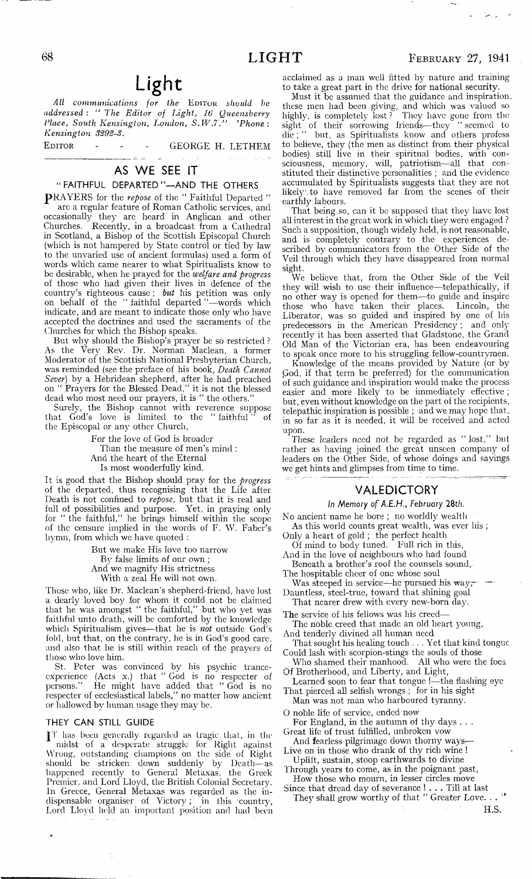All communications for the **EDITOR** should be *addressed : " The Editor of Light, 16 Queensberry Place, South Kensington, London, S .W .?.J' 'Phone: Kensington S292-S.*

EDITOR - - - - GEORGE H. LETHEM

## AS WE SEE IT

#### **" FAITHFUL DEPARTED"— AND THE OTHERS**

PRAYERS for the repose of the "Faithful Departed" arc a regular feature of Roman Catholic services, and occasionally they are heard in Anglican and other Churches. Recently, in a broadcast from a Cathedral in Scotland, a Bishop of the Scottish Episcopal Church (which is not hampered by State control or tied by law to the unvaried use of ancient formulas) used a form of words which came nearer to what Spiritualists know to be desirable, when he prayed for the *welfare and progress* of those who had given their lives in defence of the country's righteous cause ; *but* his petition was onfy on behalf of the "faithful departed "—words which indicate, and are meant to indicate those only who have accepted the doctrines and used the sacraments of the Churches for which the Bishop speaks.

But why should the Bishop's prayer be so restricted ? As the Very Rev. Dr. Norman Maclean, a former Moderator of the Scottish National Presbyterian Church, was reminded (see the preface of his book, *Death Cannot Sever)* by a Hebridean shepherd, after he had preached on " Prayers for the Blessed Dead," it is not the blessed dead who most need our prayers, it is " the others."

Surely, the Bishop cannot with reverence suppose that God's love is limited to the " faithful " of the Episcopal or any other Church,

> For the love of God is broader Than the measure of men's mind : And the heart of the Eternal Is most wonderfully kind.

It is good that the Bishop should pray for the *progress* of the departed, thus recognising that the Life after Death is not confined to *repose,* but that it is real and full of possibilities and purpose. Yet, in praying only for " the faithful," he brings himself within the scope of the censure implied in the words of F. W. Faber's hymn, from which we have quoted :

> But we make His love too narrow By false limits of our own ; And we magnify His strictness With a zeal He will not own.

Those who, like Dr. Maclean's shepherd-friend, have lost a dearly loved boy for whom it could not be claimed that he was amongst " the faithful," but who yet was faithful unto death, will be comforted by the knowledge which Spiritualism gives—that he is *not* outside God's fold, but that, on the contrary, he is in God's good care, and also that he is still within reach of the prayers of those who love him.

St. Peter was convinced by his psychic tranceexperience (Acts x.) that " God is no respecter of persons." He might have added that " God is no respecter of ecclesiastical labels," no matter how ancient or hallowed by human usage they may be.

#### **THEY CAN STILL GUIDE**

JT has been generally regarded as tragic that, in the midst of a desperate struggle for Right against Wrong, outstanding champions on the side of Right should be stricken down suddenly by Death— as happened recently' to General Metaxas, the Greek Premier, and Lord Lloyd, the British Colonial Secretary. In Greece, General Metaxas was regarded as the indispensable organiser of Victory; in this country, Lord Lloyd held an important position and had been

acclaimed as a man well fitted by nature and training to take a great part in the drive for national security.

Must it be assumed that the guidance and inspiration, these men had been giving, and which was valued so highly, is completely lost ? They have gone from the sight of their sorrowing friends— they " seemed to die ; " but, as Spiritualists know and others profess to believe, they (the men as distinct from their physical bodies) still live in their spiritual bodies, with consciousness, memory, will, patriotism— all that constituted their distinctive personalities ; and the evidence accumulated by Spiritualists suggests that they are not likely to have removed far from the scenes of their earthly labours.

That being so, can it be supposed that they have lost all interest in the great work in which they were engaged ? Such a supposition, though widely held, is not reasonable, and is completely contrary to the experiences described by communicators from the Other Side of the Veil through which they have disappeared from normal sight.

We believe that, from the Other Side of the Veil they will wish to use their influence— telepathically, if no other way is opened for them— to guide and inspire those who have taken their places. Lincoln, the Liberator, was so guided and inspired by one of his predecessors in the American Presidency ; and only recently it has been asserted that Gladstone, the Grand Old Man of the Victorian era, has been endeavouring to speak once more to his struggling fellow-countrymen.

Knowledge of the means provided by Nature (or by God, if that term be preferred) for the communication of such guidance and inspiration would make the process easier and more likely to be immediately effective ; but, even without knowledge on the part of the recipients, telepathic inspiration is possible ; and we may hope that, in so far as it is needed, it will be received and acted upon.

These leaders need not be regarded as " lost," but rather as having joined the great unseen company of leaders on the Other Side, of whose doings and sayings we get hints and glimpses from time to time.

#### VALEDICTORY

#### *In Memory of A.E.H., February 28th.*

No ancient name he bore ; no worldly wealth As this world counts great wealth, was ever his ;

Only a heart of gold ; the perfect health

Of mind to body tuned. Full rich in this, And in the love of neighbours who had found

Beneath a brother's roof the counsels sound, The hospitable cheer of one whose soul

Was steeped in service—he pursued his way, $-\cdots$ 

Dauntless, steel-true, toward that shining goal That nearer drew with every new-born day.

The service of his fellows was his creed—

The noble creed that made an old heart young, And tenderly divined all human need

That sought his healing touch . . . Yet that kind tongue Could lash with scorpion-stings the souls of those

Who shamed their manhood. All who were the focs. Of Brotherhood, and Liberty, and Light,

Learned soon to fear that tongue !— the flashing eye That pierced all selfish wrongs ; for in his sight

Man was not man who harboured tyranny.

O noble life of service, ended now For England, in the autumn of thy days . . .

Great life of trust fulfilled, unbroken vow

And fearless pilgrimage down thorny ways-Live on in those who drank of thy rich wine !

Uplift, sustain, stoop earthwards to divine Through years to come, as in the poignant past,

How those who mourn, in lesser circles move Since that dread day of severance ! . . . Till at last

They shall grow worthy of that " Greater Love. . . " H.S.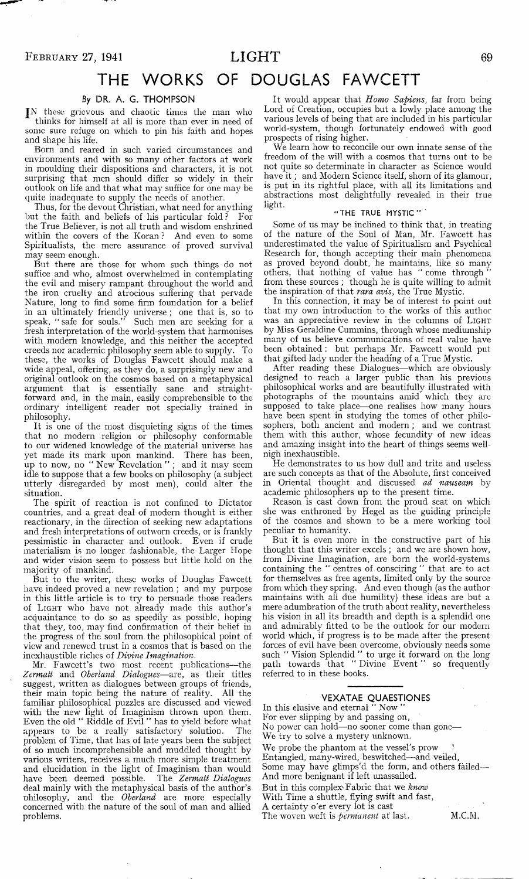## **THE WORKS OF DOUGLAS FAWCETT**

#### **By DR. A. G. THOMPSON**

JN these grievous and chaotic times the man who thinks for himself at all is more than ever in need of some sure refuge on which to pin his faith and hopes and shape his life.

Born and reared in such varied circumstances and environments and with so many other factors at work in moulding their dispositions and characters, it is not surprising that men should differ so widely in their outlook on life and that what may suffice for one may be quite inadequate to supply the needs of another.

Thus, for the devout Christian, what need for anything but the faith and beliefs of his particular fold? the True Believer, is not all truth and wisdom enshrined within the covers of the Koran ? And even to some Spiritualists, the mere assurance of proved survival may seem enough.

But there are those for whom such things do not suffice and who, almost overwhelmed in contemplating the evil and misery rampant throughout the world and the iron cruelty and atrocious suffering that pervade Nature, long to find some firm foundation for a belief in an ultimately friendly universe ; one that is, so to speak, " safe for souls." Such men are seeking for a fresh interpretation of the world-system that harmonises with modern knowledge, and this neither the accepted creeds nor academic philosophy seem able to supply. To these, the works of Douglas Fawcett should make a wide appeal, offering, as they do, a surprisingly new and original outlook on the cosmos based on a metaphysical argument that is essentially sane and straightforward and, in the main, easily comprehensible to the ordinary intelligent reader not specially trained in philosophy.

It is one of the most disquieting signs of the times that no modern religion or philosophy conformable to our widened knowledge of the material universe has yet made its mark upon mankind. There has been, up to now, no " New Revelation " ; and it may seem idle to suppose that a few books on philosophy (a subject utterly disregarded by most men), could alter the situation.

The spirit of reaction is not confined to Dictator countries, and a great deal of modern thought is either reactionary, in the direction of seeking new adaptations and fresh interpretations of outworn creeds, or is frankly pessimistic in character and outlook. Even if crude materialism is no longer fashionable, the Larger Hope and wider vision seem to possess but little hold on the majority of mankind.

But to the writer, these works of Douglas Fawcett have indeed proved a new revelation ; and my purpose in this little article is to try to persuade those readers of **Light** who have not already made this author's acquaintance to do so as speedily as possible, hoping that they, too, may find confirmation of their belief in the progress of the soul from the philosophical point of view and renewed trust in a cosmos that is based on the inexhaustible riches of *Divine Imagination.*

Mr. Fawcett's two most recent publications— the *Zermatt* and *Oberland Dialogues*— are, as their titles suggest, written as dialogues between groups of friends, their main topic being the nature of reality. All the familiar philosophical puzzles are discussed and viewed with the new light of Imaginism thrown upon them. Even the old " Riddle of Evil " has to yield before what appears to be a really satisfactory solution. The problem of Time, that has of late years been the subject of so much incomprehensible and muddled thought by various writers, receives a much more simple treatment and elucidation in the light of Imaginism than would have been deemed possible. The *Zermatt Dialogues* deal mainly with the metaphysical basis of the author's Dhilosophy, and the *Oberland,* are more especially concerned with the nature of the soul of man and allied problems.

It would appear that *Homo Sapiens,* far from being Lord of Creation, occupies but a lowly place among the various levels of being that are included in his particular world-system, though fortunately endowed with good prospects of rising higher.

We learn how to reconcile our own innate sense of the freedom of the will with a cosmos that turns out to be not quite so determinate in character as Science would have it; and Modern Science itself, shorn of its glamour, is put in its rightful place, with all its limitations and abstractions most delightfully revealed in their true light.

#### " THE TRUE MYSTIC "

Some of us may be inclined to think that, in treating of the nature of the Soul of Man, Mr. Fawcett has underestimated the value of Spiritualism and Psychical Research for, though accepting their main phenomena as proved beyond doubt, he maintains, like so many others, that nothing of value has " come through from these sources ; though he is quite willing to admit the inspiration of that *rara avis,* the True Mystic.

In this connection, it may be of interest to point out that my own introduction to the works of this author was an appreciative review in the columns of LIGHT by Miss Geraldine Cummins, through whose mediumship many of us believe communications of real value have been obtained : but perhaps Mr. Fawcett would put that gifted lady under the heading of a True Mystic.

After reading these Dialogues— which are obviously designed to reach a larger public than his previous philosophical works and are beautifully illustrated with photographs of the mountains amid which they are supposed to take place—one realises how many hours have been spent in studying the tomes of other philosophers, both ancient and modern ; and we contrast them with this author, whose fecundity of new ideas and amazing insight into the heart of things seems wellnigh inexhaustible.

He demonstrates to us how dull and trite and useless are such concepts as that of the Absolute, first conceived in Oriental thought and discussed *ad nauseam* by academic philosophers up to the present time.

Reason is cast down from the proud seat on which she was enthroned by Hegel as the guiding principle of the cosmos and shown to be a mere working tool peculiar to humanity.

But it is even more in the constructive part of his thought that this writer excels ; and we are shown how, from Divine Imagination, are born the world-systems containing the " centres of consciring " that are to act for themselves as free agents, limited only by the source from which they spring. And even though (as the author maintains with all due humility) these ideas are but a mere adumbration of the truth about reality, nevertheless his vision in all its breadth and depth is a splendid one and admirably fitted to be the outlook for our modern world which, if progress is to be made after the present forces of evil have been overcome, obviously needs some such " Vision Splendid '' to urge it forward on the long path towards that " Divine Event " so frequently referred to in these books.

## **VEXATAE QUAESTIONES**

In this elusive and eternal " Now For ever slipping by and passing on, No power can hold—no sooner come than gone— We try to solve a mystery unknown. We probe the phantom at the vessel's prow Entangled, many-wired, beswitched— and veiled, Some may have glimps'd the form, and others failed— And more benignant if left unassailed. But in this complex'Fabric that we *know* With Time a shuttle, flying swift and fast, A certainty o'er every lot is cast The woven weft is *permanent* at last. M.C.M.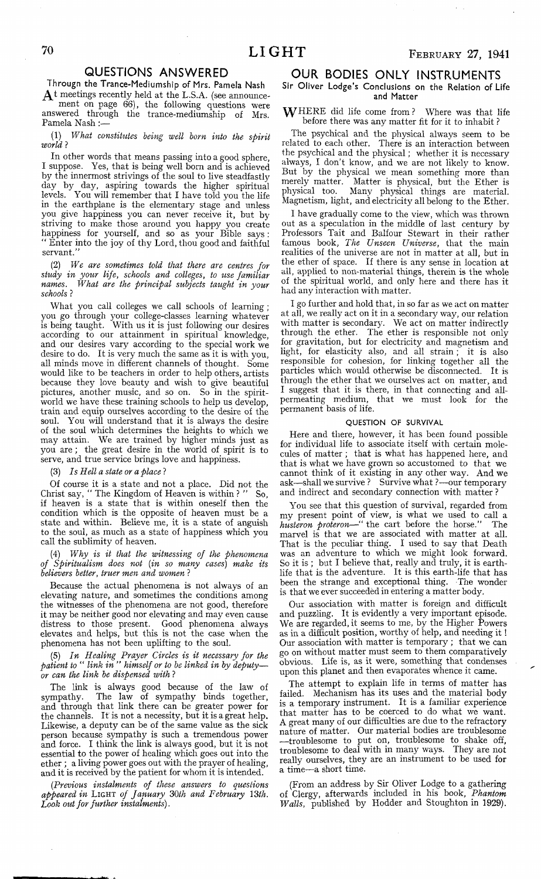#### **QUESTIONS ANSWERED**

**Througn the Trance-Mediumship of Mrs, Pamela Nash**  $A<sup>t</sup>$  meetings recently held at the L.S.A. (see announcement on page 66), the following questions were answered through the trance-mediumship of Mrs.

Pamela Nash: (1) *What constitutes being well born into the spirit*

*world* ?

In other words that means passing into a good sphere, I suppose. Yes, that is being well born and is achieved by the innermost strivings of the soul to live steadfastly day by day, aspiring towards the higher spiritual levels. You will remember that I have told you the life in the earthplane is the elementary stage and unless you give happiness you can never receive it, but by striving to make those around you happy you create happiness for yourself, and so as your Bible says : "Enter into the joy of thy Lord, thou good and faithful servant.

(2) *We are sometimes told that there are centres for study in your life, schools and colleges, to use familiar names. What are the principal subjects taught in your schools* ?

What you call colleges we call schools of learning ; you go through your college-classes learning whatever is being taught. With us it is just following our desires according to our attainment in spiritual knowledge, and our desires vary according to the special work we desire to do. It is very much the same as it is with you, all minds move in different channels of thought. Some would like to be teachers in order to help others, artists because they love beauty and wish to give beautiful pictures, another music, and so on. So in the spiritworld we have these training schools to help us develop, train and equip ourselves according to the desire of the soul. You will understand that it is always the desire of the soul which determines the heights to which we may attain. We are trained by higher minds just as you are ; the great desire in the world of spirit is to serve, and true service brings love and happiness.

(3) *Is Hell a state or a place* ?

Of course it is a state and not a place. Did not the Christ say, " The Kingdom of Heaven is within ? " So, if heaven is a state that is within oneself then the condition which is the opposite of heaven must be a state and within. Believe me, it is a state of anguish to the soul, as much as a state of happiness which you call the sublimity of heaven.

(4) *Why is it that the witnessing of the phenomena of Spiritualism does not {in so many cases) make its believers better, truer men and women* ?

Because the actual phenomena is not always of an elevating nature, and sometimes the conditions among the witnesses of the phenomena are not good, therefore it may be neither good nor elevating and may even cause distress to those present. Good phenomena always elevates and helps, but this is not the case when the phenomena has not been uplifting to the soul.

#### (5) *In Healing Prayer Circles is it necessary for the patient to* " *link in " himself or to be linked in by deputy or can the link be dispensed with* ?

The link is always good because of the law of sympathy. The law of sympathy binds together, and through that link there can be greater power for the channels. It is not a necessity, but it is a great help. Likewise, a deputy can be of the same value as the sick person because sympathy is such a tremendous power and force. I think the link is always good, but it is not essential to the power of healing which goes out into the ether ; a living power goes out with the prayer of healing, and it is received by the patient for whom it is intended.

*(.Previous instalments of these answers to questions appeared in* Light *of January* 3*Oth and February \3th. Look out for further instalments).*

## **OUR BODIES ONLY INSTRUMENTS**

#### **Sir Oliver Lodge's Conclusions on the Relation of Life and Matter**

WHERE did life come from? Where was that life before there was any matter fit for it to inhabit ?

The psychical and the physical always seem to be related to each other. There is an interaction between the psychical and the physical; whether it is necessary always, I don't know, and we are not likely to know. But by the physical we mean something more than merely matter. Matter is physical, but the Ether is physical too. Many physical things are material. Magnetism, light, and electricity all belong to the Ether.

I have gradually come to the view, which was thrown out as a speculation in the middle of last century by Professors Tait and Balfour Stewart in their rather famous book, *The Unseen Universe,* that the main realities of the universe are not in matter at all, but in the ether of space. If there is any sense in location at all, applied to non-material things, therein is the whole of the spiritual world, and only here and there has it had any interaction with matter.

I go further and hold that, in so far as we act on matter at all, we really act on it in a secondary way, our relation with matter is secondary. We act on matter indirectly through the ether. The ether is responsible not only for gravitation, but for electricity and magnetism and light, for elasticity also, and all strain ; it is also responsible for cohesion, for linking together all the particles which would otherwise be disconnected. It is through the ether that we ourselves act on matter, and I suggest that it is there, in that connecting and allpermeating medium, that we must look for the permanent basis of life.

#### QUESTION OF SURVIVAL

Here and there, however, it has been found possible for individual life to associate itself with certain molecules of matter ; that is what has happened here, and that is what we have grown so accustomed to that we cannot think of it existing in any other way. And we ask— shall we survive ? Survive what ?— our temporary and indirect and secondary connection with matter ?

You see that this question of survival, regarded from my present point of view, is what we used to call a *husteron proteron*— " the cart before the horse." The marvel is that we are associated with matter at all. That is the peculiar thing. I used to say that Death was an adventure to which we might look forward. So it is ; but I believe that, really and truly, it is earthlife that is the adventure. It is this earth-life that has been the strange and exceptional thing. The wonder is that we ever succeeded in entering a matter body.

Our association with matter is foreign and difficult and puzzling. It is evidently a very important episode. We are regarded, it seems to me, by the Higher Powers as in a difficult position, worthy of help, and needing it ! Our association with matter is temporary ; that we can go on without matter must seem to them comparatively obvious. Life is, as it were, something that condenses upon this planet and then evaporates whence it came.

The attempt to explain life in terms of matter has failed. Mechanism has its uses and the material body is a temporary instrument. It is a familiar experience that matter has to be coerced to do what we want. A great many of our difficulties are due to the refractory nature of matter. Our material bodies are troublesome — troublesome to put on, troublesome to shake off, troublesome to deal with in many ways. They are not really ourselves, they are an instrument to be used for a time—a short time.

(From an address by Sir Oliver Lodge to a gathering of Clergy, afterwards included in his book, *Phantom Walls,* published by Hodder and Stoughton in 1929).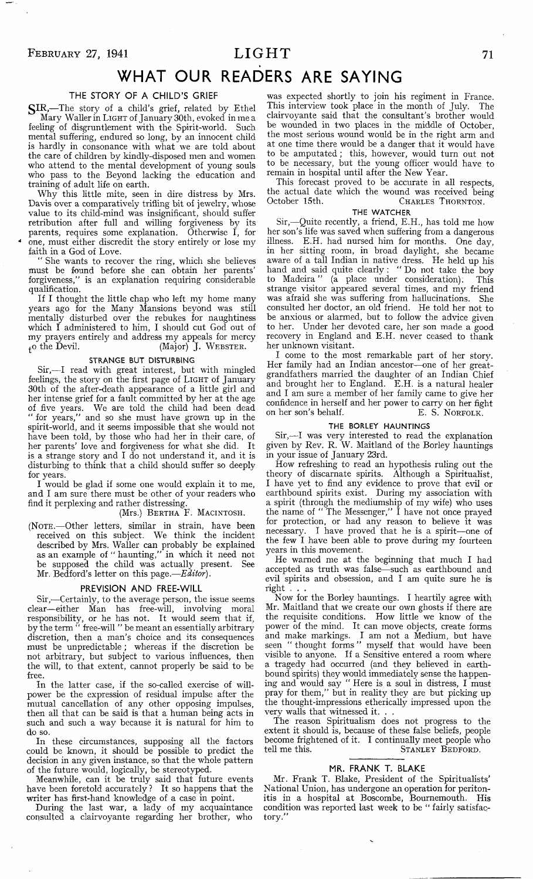$\overline{\phantom{m}}$  .

# **WHAT OUR READERS ARE SAYING**

#### THE STORY OF A CHILD'S GRIEF

SIR,-The story of a child's grief, related by Ethel Mary Waller in **Light** of January 30th, evoked in me a feeling of disgruntlement with the Spirit-world. Such mental suffering, endured so long, by an innocent child is hardly in consonance with what we are told about the care of children by kindly-disposed men and women who attend to the mental development of young souls who pass to the Beyond lacking the education and training of adult life on earth.

Why this little mite, seen in dire distress by Mrs. Davis over a comparatively trifling bit of jewelry, whose value to its child-mind was insignificant, should suffer retribution after full and willing forgiveness by its parents, requires some explanation. Otherwise I, for one, must either discredit the story entirely or lose my faith in a God of Love.

" She wants to recover the ring, which she believes must be found before she can obtain her parents' forgiveness," is an explanation requiring considerable qualification.

If I thought the little chap who left my home many years ago for the Many Mansions beyond was still mentally disturbed over the rebukes for naughtiness which I administered to him, I should cut God out of my prayers entirely and address my appeals for mercy  $\downarrow$ o the Devil. (Major) J. WEBSTER. (Major) J. WEBSTER.

#### STRANGE BUT DISTURBING

Sir,— I read with great interest, but with mingled feelings, the story on the first page of **Light** of January 30th of the after-death appearance of a little girl and her intense grief for a fault committed by her at the age of five years. We are told the child had been dead " for years," and so she must have grown up in the spirit-world, and it seems impossible that she would not have been told, by those who had her in their care, of her parents' love and forgiveness for what she did. It her parents' love and forgiveness for what she did. is a strange story and I do not understand it, and it is disturbing to think that a child should suffer so deeply for years.

I would be glad if some one would explain it to me, and I am sure there must be other of your readers who find it perplexing and rather distressing.

#### (Mrs.) **Bertha** F. **Macintosh.**

**(Note.—** Other letters, similar in strain, have been received on this subject. We think the incident described by Mrs. Waller can probably be explained as an example of " haunting," in which it need not be supposed the child was actually present. See Mr. Bedford's letter on this page.—*Editor).*

#### **PREVISION AND FREE-WILL**

Sir,— Certainly, to the average person, the issue seems clear— either Man has free-will, involving moral responsibility, or he has not. It would seem that if, by the term " free-will " be meant an essentially arbitrary discretion, then a man's choice and its consequences must be unpredictable ; whereas if the discretion be not arbitrary, but subject to various influences, then the will, to that extent, cannot properly be said to be free.

In the latter case, if the so-called exercise of willpower be the expression of residual impulse after the mutual cancellation of any other opposing impulses, then all that can be said is that a human being acts in such and such a way because it is natural for him to do so.

In these circumstances, supposing all the factors could be known, it should be possible to predict the decision in any given instance, so that the whole pattern of the future would, logically, be stereotyped.

Meanwhile, can it be truly said that future events have been foretold accurately ? It so happens that the writer has first-hand knowledge of a case in point.

During the last war, a lady of my acquaintance consulted a clairvoyante regarding her brother, who

was expected shortly to join his regiment in France. This interview took place in the month of July. The clairvoyante said that the consultant's brother would be wounded in two places in the middle of October, the most serious wound would be in the right arm and at one time there would be a danger that it would have to be amputated ; this, however, would turn out not to be necessary, but the young officer would have to remain in hospital until after the New Year.

This forecast proved to be accurate in all respects, the actual date which the wound was received being October 15th. **CHARLES** THORNTON.

#### THE WATCHER

Sir,— Quite recently, a friend, E.H., has told me how her son's life was saved when suffering from a dangerous illness. E.H. had nursed him for months. One day, in her sitting room, in broad daylight, she became aware of a tall Indian in native dress. He held up his hand and said quite clearly : " Do not take the boy to Madeira" (a place under consideration); This strange visitor appeared several times, and my friend was afraid she was suffering from hallucinations. She consulted her doctor, an old friend. He told her not to be anxious or alarmed, but to follow the advice given to her. Under her devoted care, her son made a good recovery in England and E.H. never ceased to thank her unknown visitant.

I come to the most remarkable part of her story. Her family had an Indian ancestor—one of her greatgrandfathers married the daughter of an Indian Chief and brought her to England. E.H. is a natural healer and I am sure a member of her family came to give her confidence in herself and her power to carry on her fight on her son's behalf. E. S. NORFOLK.

#### THE BORLEY HAUNTINGS

Sir,— I was very interested to read the explanation given by Rev. R. W. Maitland of the Borley hauntings in your issue of January 23rd.

How refreshing to read an hypothesis ruling out the theory of discarnate spirits. Although a Spiritualist, I have yet to find any evidence to prove that evil or earthbound spirits exist. During my association with a spirit (through the mediumship of my wife) who uses the name of " The Messenger," I have not once prayed for protection, or had any reason to believe it was necessary. I have proved that he is a spirit— one of the few I have been able to prove during my fourteen years in this movement.

He warned me at the beginning that much I had accepted as truth was false— such as earthbound and evil spirits and obsession, and I am quite sure he is right . . .

Now for the Borley hauntings. I heartily agree with Mr. Maitland that we create our own ghosts if there are the requisite conditions. How little we know of the power of the mind. It can move objects, create forms and make markings. I am not a Medium, but have seen " thought forms " myself that would have been visible to anyone. If a Sensitive entered a room where a tragedy had occurred (and they believed in earthbound spirits) they would immediately sense the happening and would say " Here is a soul in distress, I must pray for them," but in reality they are but picking up the thought-impressions etherically impressed upon the very walls that witnessed it. . .

The reason Spiritualism does not progress to the extent it should is, because of these false beliefs, people become frightened of it. I continually meet people who tell me this. **STANLEY** BEDFORD.

#### **MR. FRANK T. BLAKE**

Mr. Frank T. Blake, President of the Spiritualists' National Union, has undergone an operation for peritonitis in a hospital at Boscombe, Bournemouth. His condition was reported last week to be " fairly satisfactory.'